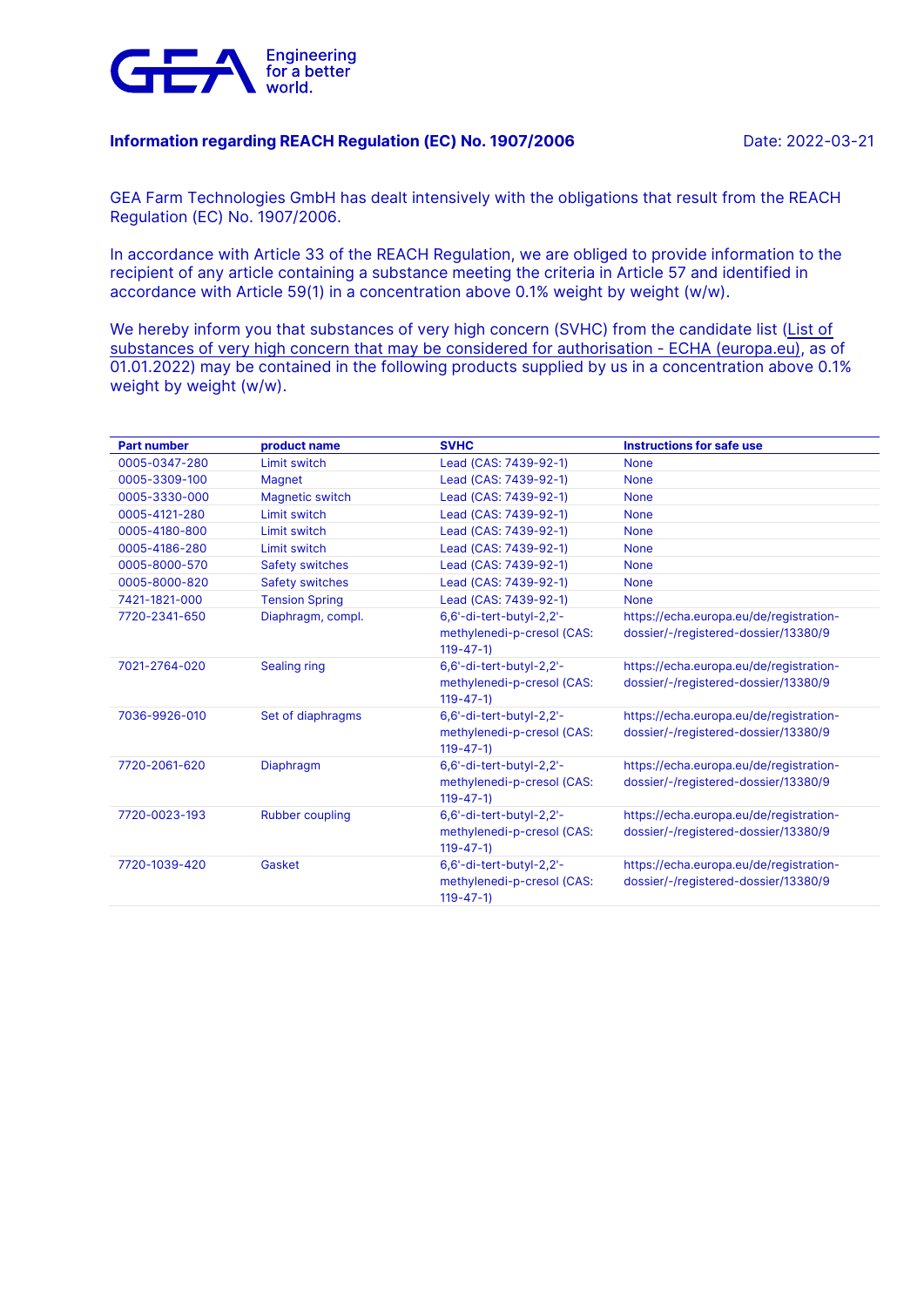

## **Information regarding REACH Regulation (EC) No. 1907/2006** Date: 2022-03-21

GEA Farm Technologies GmbH has dealt intensively with the obligations that result from the REACH Regulation (EC) No. 1907/2006.

In accordance with Article 33 of the REACH Regulation, we are obliged to provide information to the recipient of any article containing a substance meeting the criteria in Article 57 and identified in accordance with Article 59(1) in a concentration above 0.1% weight by weight (w/w).

We hereby inform you that substances of very high concern (SVHC) from the candidate list [\(List of](https://echa.europa.eu/de/candidate-list-table)  [substances of very high concern that may be considered for authorisation -](https://echa.europa.eu/de/candidate-list-table) ECHA (europa.eu), as of 01.01.2022) may be contained in the following products supplied by us in a concentration above 0.1% weight by weight (w/w).

| <b>Part number</b> | product name           | <b>SVHC</b>                | <b>Instructions for safe use</b>        |
|--------------------|------------------------|----------------------------|-----------------------------------------|
| 0005-0347-280      | Limit switch           | Lead (CAS: 7439-92-1)      | <b>None</b>                             |
| 0005-3309-100      | Magnet                 | Lead (CAS: 7439-92-1)      | <b>None</b>                             |
| 0005-3330-000      | Magnetic switch        | Lead (CAS: 7439-92-1)      | <b>None</b>                             |
| 0005-4121-280      | Limit switch           | Lead (CAS: 7439-92-1)      | <b>None</b>                             |
| 0005-4180-800      | Limit switch           | Lead (CAS: 7439-92-1)      | <b>None</b>                             |
| 0005-4186-280      | Limit switch           | Lead (CAS: 7439-92-1)      | <b>None</b>                             |
| 0005-8000-570      | <b>Safety switches</b> | Lead (CAS: 7439-92-1)      | <b>None</b>                             |
| 0005-8000-820      | <b>Safety switches</b> | Lead (CAS: 7439-92-1)      | <b>None</b>                             |
| 7421-1821-000      | <b>Tension Spring</b>  | Lead (CAS: 7439-92-1)      | <b>None</b>                             |
| 7720-2341-650      | Diaphragm, compl.      | 6,6'-di-tert-butyl-2,2'-   | https://echa.europa.eu/de/registration- |
|                    |                        | methylenedi-p-cresol (CAS: | dossier/-/registered-dossier/13380/9    |
|                    |                        | $119 - 47 - 1$             |                                         |
| 7021-2764-020      | <b>Sealing ring</b>    | 6,6'-di-tert-butyl-2,2'-   | https://echa.europa.eu/de/registration- |
|                    |                        | methylenedi-p-cresol (CAS: | dossier/-/registered-dossier/13380/9    |
|                    |                        | $119 - 47 - 1$             |                                         |
| 7036-9926-010      | Set of diaphragms      | 6,6'-di-tert-butyl-2,2'-   | https://echa.europa.eu/de/registration- |
|                    |                        | methylenedi-p-cresol (CAS: | dossier/-/registered-dossier/13380/9    |
|                    |                        | $119 - 47 - 1$             |                                         |
| 7720-2061-620      | Diaphragm              | 6,6'-di-tert-butyl-2,2'-   | https://echa.europa.eu/de/registration- |
|                    |                        | methylenedi-p-cresol (CAS: | dossier/-/registered-dossier/13380/9    |
|                    |                        | $119 - 47 - 1$             |                                         |
| 7720-0023-193      | <b>Rubber coupling</b> | 6,6'-di-tert-butyl-2,2'-   | https://echa.europa.eu/de/registration- |
|                    |                        | methylenedi-p-cresol (CAS: | dossier/-/registered-dossier/13380/9    |
|                    |                        | $119 - 47 - 1$             |                                         |
| 7720-1039-420      | Gasket                 | 6,6'-di-tert-butyl-2,2'-   | https://echa.europa.eu/de/registration- |
|                    |                        | methylenedi-p-cresol (CAS: | dossier/-/registered-dossier/13380/9    |
|                    |                        | $119 - 47 - 1$             |                                         |